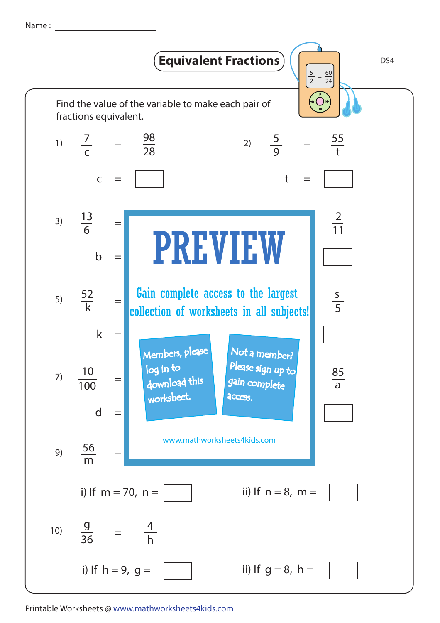Name :